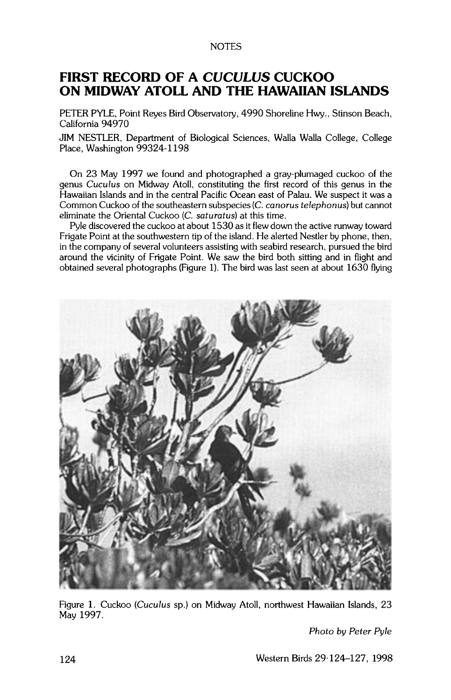## **NOTES**

## **FIRST RECORD OF A CUCULUS CUCKOO ON MIDWAY ATOLL AND THE HAWAIIAN ISLANDS**

**PETER PYLE, Point Reyes Bird Observatory. 4990 Shoreline Hwy., Stinson Beach, California 94970** 

**JIM NESTLER. Department of Biological Sciences. Walla Walla College. College Place, Washington 99324-1198** 

**On 23 May 1997 we found and photographed a gray-plumaged cuckoo of the genus Cuculus on Midway Atoll. constituting the first record of this genus in the Hawaiian Islands and in the central Pacific Ocean east of Palau. We suspect it was a Common Cuckoo of the southeastern subspecies (C. canorus telephonus) but cannot eliminate the Oriental Cuckoo (C. saturatus) at this time.** 

**Pyle discovered the cuckoo at about 1530 as it flew down the active runway toward Frigate Point at the southwestern tip of the island. He alerted Nestler by phone, then, in the company of several volunteers assisting with seabird research, pursued the bird around the vicinity of Frigate Point. We saw the bird both sitting and in flight and obtained several photographs (Figure 1). The bird was last seen at about 1630 flying** 



**Figure 1. Cuckoo (Cuculus sp.) on Midway Atoll, northwest Hawaiian Islands, 23 May 1997.** 

**Photo by Peter Pyle**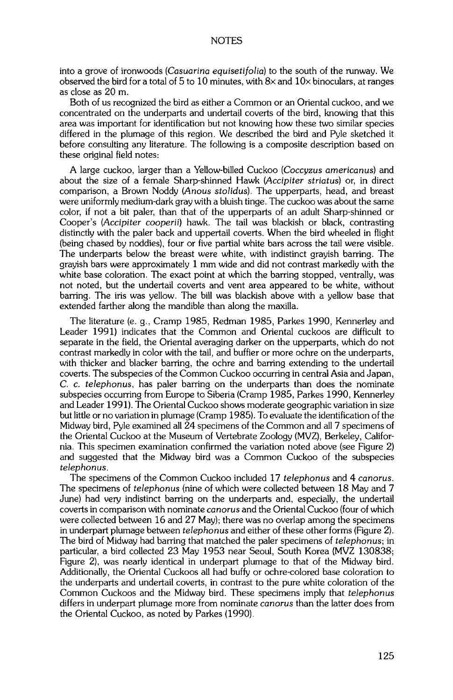**into a grove of ironwoods (Casuarina equisetifolia) to the south of the runway. We observed the bird for a total of 5 to 10 minutes, with 8x and 10x binoculars, at ranges as close as 20 m.** 

**Both of us recognized the bird as either a Common or an Oriental cuckoo, and we concentrated on the underparts and undertail coverts of the bird, knowing that this area was important for identification but not knowing how these two similar species differed in the plumage of this region. We described the bird and Pyle sketched it before consulting any literature. The following is a composite description based on these original field notes:** 

**A large cuckoo, larger than a Yellow-billed Cuckoo (Coccyzus americanus) and**  about the size of a female Sharp-shinned Hawk (Accipiter striatus) or, in direct **comparison, a Brown Noddy (Anous stolidus). The upperparts, head, and breast were uniformly medium-dark gray with a bluish tinge. The cuckoo was about the same color, if not a bit paler, than that of the upperparts of an adult Sharp-shinned or**  Cooper's (Accipiter cooperii) hawk. The tail was blackish or black, contrasting **distinctly with the paler back and uppertail coverts. When the bird wheeled in flight (being chased by noddies), four or five partial white bars across the tail were visible. The underparts below the breast were white, with indistinct grayish barring. The grayish bars were approximately 1 mm wide and did not contrast markedly with the white base coloration. The exact point at which the barring stopped, ventrally, was not noted, but the undertail coverts and vent area appeared to be white, without barring. The iris was yellow. The bill was blackish above with a yellow base that extended farther along the mandible than along the maxilla.** 

**The literature (e.g., Cramp 1985, Redman 1985, Parkes 1990, Kennerley and Leader 1991) indicates that the Common and Oriental cuckoos are difficult to separate in the field, the Oriental averaging darker on the upperparts, which do not contrast markedly in color with the tail, and buffier or more ochre on the underparts, with thicker and blacker barring, the ochre and barring extending to the undertail coverts. The subspecies of the Common Cuckoo occurring in central Asia and Japan, C. c. telephonus, has paler barring on the underparts than does the nominate subspecies occurring from Europe to Siberia (Cramp 1985, Parkes 1990, Kennerley and Leader 1991). The Oriental Cuckoo shows moderate geographic variation in size but little or no variation in plumage (Cramp 1985). To evaluate the identification of the Midway bird, Pyle examined all 24 specimens of the Common and all 7 specimens of the Oriental Cuckoo at the Museum of Vertebrate Zoology (MVZ), Berkeley, California. This specimen examination confirmed the variation noted above (see Figure 2) and suggested that the Midway bird was a Common Cuckoo of the subspecies telephonus.** 

**The specimens of the Common Cuckoo included 17 telephonus and 4 canorus. The specimens of telephonus (nine of which were collected between 18 May and 7 June) had very indistinct barring on the underparts and, especially, the undertail coverts in comparison with nominate ca norus and the Oriental Cuckoo (four of which were collected between 16 and 27 May); there was no overlap among the specimens in underpart plumage between telephonus and either of these other forms (Figure 2).**  The bird of Midway had barring that matched the paler specimens of telephonus; in **particular, a bird collected 23 May 1953 near Seoul, South Korea (MVZ 130838; Figure 2), was nearly identical in underpart plumage to that of the Midway bird.**  Additionally, the Oriental Cuckoos all had buffy or ochre-colored base coloration to **the underparts and undertail coverts, in contrast to the pure white coloration of the Common Cuckoos and the Midway bird. These specimens imply that telephonus differs in underpart plumage more from nominate canorus than the latter does from the Oriental Cuckoo, as noted by Parkes (1990).**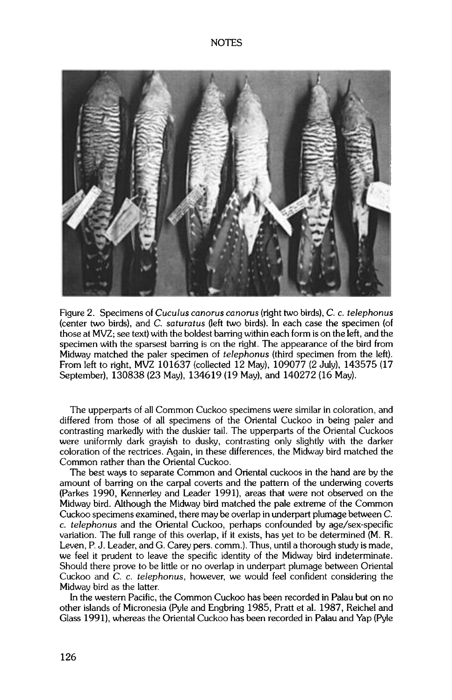

**Figure 2. Specimens of Cuculus canorus canorus (right two birds), C. c. telephonus (center two birds). and C. saturatus (left two birds). In each case the specimen (of those at MVZ: see text) with the boldest barring within each form is on the left. and the specimen with the sparsest barring is on the right. The appearance of the bird from Midway matched the paler specimen of telephonus (third specimen from the left). From left to right. MVZ 101637 (collected 12 May), 109077 (2 July). 143575 (17 September). 130838 (23 May), 134619 (19 May), and 140272 (16 May).** 

**The upperparts of all Common Cuckoo specimens were similar in coloration, and differed from those of all specimens of the Oriental Cuckoo in being paler and contrasting markedly with the duskier tail. The upperparts of the Oriental Cuckoos were uniformly dark grayish to dusky, contrasting only slightly with the darker coloration of the rectrices. Again. in these differences, the Midway bird matched the Common rather than the Oriental Cuckoo.** 

**The best ways to separate Common and Oriental cuckoos in the hand are by the amount of barring on the carpal coverts and the pattern of the underwing coverts (Parkes 1990, Kennerley and Leader 1991). areas that were not observed on the Midway bird. Although the Midway bird matched the pale extreme of the Common Cuckoo specimens examined. there may be overlap in underpart plumage between C. c. telephonus and the Oriental Cuckoo, perhaps confounded by age/sex-specific variation. The full range of this overlap, if it exists, has yet to be determined (M. R. Leven. P. J. Leader, and G. Carey pers. comm.). Thus, until a thorough study is made, we feel it prudent to leave the specific identity of the Midway bird indeterminate. Should there prove to be little or no overlap in underpart plumage between Oriental Cuckoo and C. c. telephonus, however, we would feel confident considering the Midway bird as the latter.** 

**In the western Pacific, the Common Cuckoo has been recorded in Palau but on no other islands of Micronesia (Pyle and Engbring 1985, Pratt et al. 1987, Reichel and Glass 1991). whereas the Oriental Cuckoo has been recorded in Palau and Yap (Pyle**